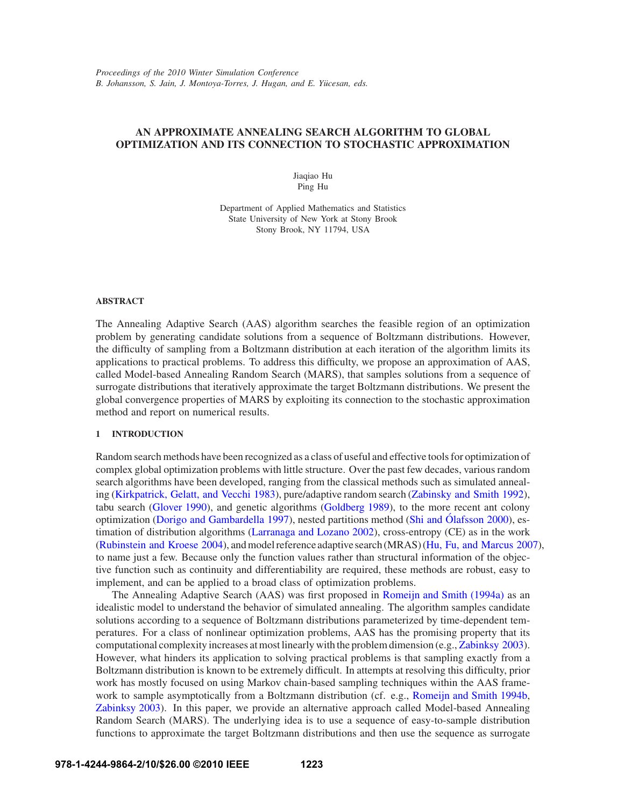# **AN APPROXIMATE ANNEALING SEARCH ALGORITHM TO GLOBAL OPTIMIZATION AND ITS CONNECTION TO STOCHASTIC APPROXIMATION**

Jiaqiao Hu Ping Hu

Department of Applied Mathematics and Statistics State University of New York at Stony Brook Stony Brook, NY 11794, USA

## **ABSTRACT**

The Annealing Adaptive Search (AAS) algorithm searches the feasible region of an optimization problem by generating candidate solutions from a sequence of Boltzmann distributions. However, the difficulty of sampling from a Boltzmann distribution at each iteration of the algorithm limits its applications to practical problems. To address this difficulty, we propose an approximation of AAS, called Model-based Annealing Random Search (MARS), that samples solutions from a sequence of surrogate distributions that iteratively approximate the target Boltzmann distributions. We present the global convergence properties of MARS by exploiting its connection to the stochastic approximation method and report on numerical results.

#### **1 INTRODUCTION**

Random search methods have been recognized as a class of useful and effective tools for optimization of complex global optimization problems with little structure. Over the past few decades, various random search algorithms have been developed, ranging from the classical methods such as simulated annealing (Kirkpatrick, Gelatt, and Vecchi 1983), pure/adaptive random search (Zabinsky and Smith 1992), tabu search (Glover 1990), and genetic algorithms (Goldberg 1989), to the more recent ant colony optimization (Dorigo and Gambardella 1997), nested partitions method (Shi and Ólafsson 2000), estimation of distribution algorithms (Larranaga and Lozano 2002), cross-entropy (CE) as in the work (Rubinstein and Kroese 2004), and model reference adaptive search (MRAS) (Hu, Fu, and Marcus 2007), to name just a few. Because only the function values rather than structural information of the objective function such as continuity and differentiability are required, these methods are robust, easy to implement, and can be applied to a broad class of optimization problems.

The Annealing Adaptive Search (AAS) was first proposed in Romeijn and Smith (1994a) as an idealistic model to understand the behavior of simulated annealing. The algorithm samples candidate solutions according to a sequence of Boltzmann distributions parameterized by time-dependent temperatures. For a class of nonlinear optimization problems, AAS has the promising property that its computational complexity increases at most linearly with the problem dimension (e.g., Zabinksy 2003). However, what hinders its application to solving practical problems is that sampling exactly from a Boltzmann distribution is known to be extremely difficult. In attempts at resolving this difficulty, prior work has mostly focused on using Markov chain-based sampling techniques within the AAS framework to sample asymptotically from a Boltzmann distribution (cf. e.g., Romeijn and Smith 1994b, Zabinksy 2003). In this paper, we provide an alternative approach called Model-based Annealing Random Search (MARS). The underlying idea is to use a sequence of easy-to-sample distribution functions to approximate the target Boltzmann distributions and then use the sequence as surrogate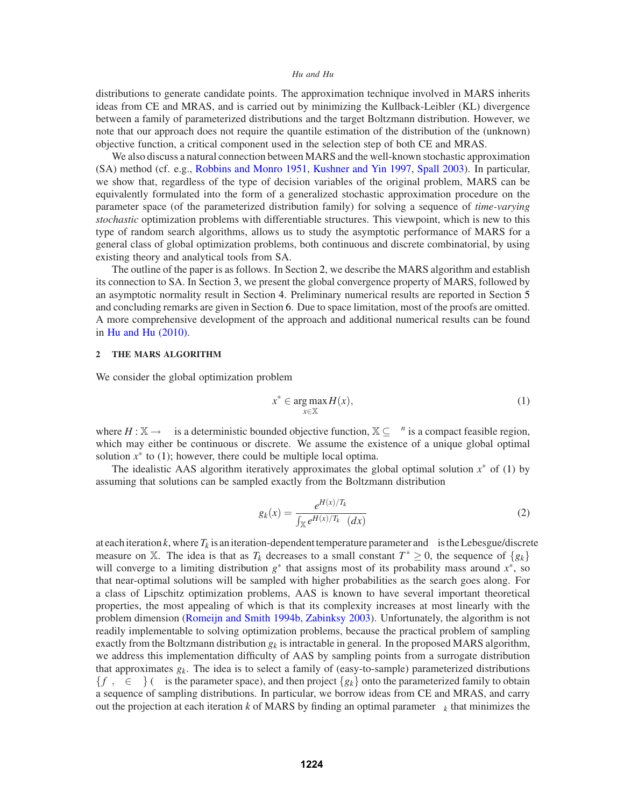distributions to generate candidate points. The approximation technique involved in MARS inherits ideas from CE and MRAS, and is carried out by minimizing the Kullback-Leibler (KL) divergence between a family of parameterized distributions and the target Boltzmann distribution. However, we note that our approach does not require the quantile estimation of the distribution of the (unknown) objective function, a critical component used in the selection step of both CE and MRAS.

We also discuss a natural connection between MARS and the well-known stochastic approximation (SA) method (cf. e.g., Robbins and Monro 1951, Kushner and Yin 1997, Spall 2003). In particular, we show that, regardless of the type of decision variables of the original problem, MARS can be equivalently formulated into the form of a generalized stochastic approximation procedure on the parameter space (of the parameterized distribution family) for solving a sequence of *time-varying stochastic* optimization problems with differentiable structures. This viewpoint, which is new to this type of random search algorithms, allows us to study the asymptotic performance of MARS for a general class of global optimization problems, both continuous and discrete combinatorial, by using existing theory and analytical tools from SA.

The outline of the paper is as follows. In Section 2, we describe the MARS algorithm and establish its connection to SA. In Section 3, we present the global convergence property of MARS, followed by an asymptotic normality result in Section 4. Preliminary numerical results are reported in Section 5 and concluding remarks are given in Section 6. Due to space limitation, most of the proofs are omitted. A more comprehensive development of the approach and additional numerical results can be found in Hu and Hu (2010).

### **2 THE MARS ALGORITHM**

We consider the global optimization problem

$$
x^* \in \arg\max_{x \in \mathbb{X}} H(x),\tag{1}
$$

where  $H : \mathbb{X} \to \mathbb{R}$  is a deterministic bounded objective function,  $\mathbb{X} \subseteq \mathbb{R}^n$  is a compact feasible region, which may either be continuous or discrete. We assume the existence of a unique global optimal solution  $x^*$  to (1); however, there could be multiple local optima.

The idealistic AAS algorithm iteratively approximates the global optimal solution *x*∗ of (1) by assuming that solutions can be sampled exactly from the Boltzmann distribution

$$
g_k(x) = \frac{e^{H(x)/T_k}}{\int_{\mathbb{X}} e^{H(x)/T_k} \mathbf{v}(dx)}\tag{2}
$$

at each iteration  $k$ , where  $T_k$  is an iteration-dependent temperature parameter and  $v$  is the Lebesgue/discrete measure on X. The idea is that as  $T_k$  decreases to a small constant  $T^* \geq 0$ , the sequence of  $\{g_k\}$ will converge to a limiting distribution *g*∗ that assigns most of its probability mass around *x*∗, so that near-optimal solutions will be sampled with higher probabilities as the search goes along. For a class of Lipschitz optimization problems, AAS is known to have several important theoretical properties, the most appealing of which is that its complexity increases at most linearly with the problem dimension (Romeijn and Smith 1994b, Zabinksy 2003). Unfortunately, the algorithm is not readily implementable to solving optimization problems, because the practical problem of sampling exactly from the Boltzmann distribution  $g_k$  is intractable in general. In the proposed MARS algorithm, we address this implementation difficulty of AAS by sampling points from a surrogate distribution that approximates *gk*. The idea is to select a family of (easy-to-sample) parameterized distributions  ${f_{\theta}, \theta \in \Theta}$  (*Θ* is the parameter space), and then project  ${g_k}$  onto the parameterized family to obtain a sequence of sampling distributions. In particular, we borrow ideas from CE and MRAS, and carry out the projection at each iteration *k* of MARS by finding an optimal parameter  $\theta_k$  that minimizes the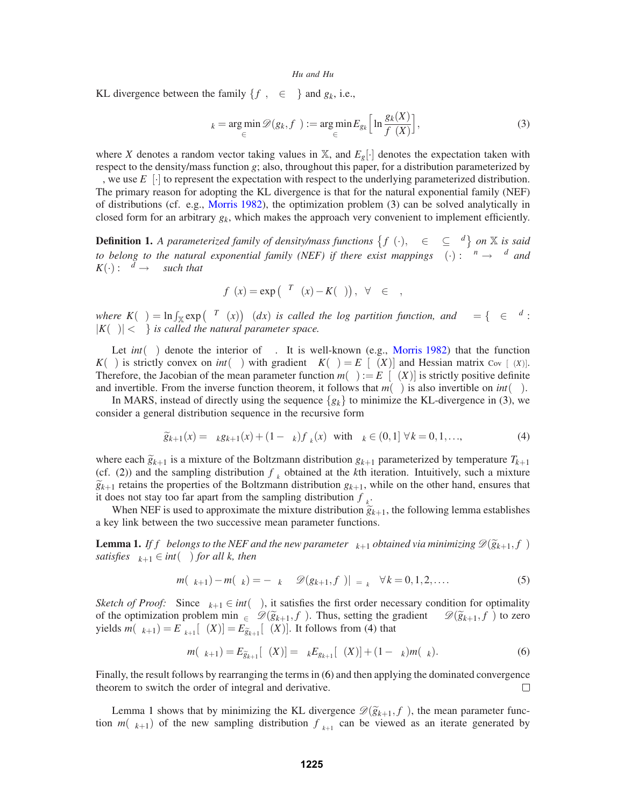KL divergence between the family  $\{f_{\theta}, \theta \in \Theta\}$  and  $g_k$ , i.e.,

$$
\theta_k = \underset{\theta \in \Theta}{\arg \min} \mathscr{D}(g_k, f_{\theta}) := \underset{\theta \in \Theta}{\arg \min} E_{g_k} \left[ \ln \frac{g_k(X)}{f_{\theta}(X)} \right],\tag{3}
$$

where *X* denotes a random vector taking values in  $X$ , and  $E_g[\cdot]$  denotes the expectation taken with respect to the density/mass function *g*; also, throughout this paper, for a distribution parameterized by  $\theta$ , we use  $E_{\theta}[\cdot]$  to represent the expectation with respect to the underlying parameterized distribution. The primary reason for adopting the KL divergence is that for the natural exponential family (NEF) of distributions (cf. e.g., Morris 1982), the optimization problem (3) can be solved analytically in closed form for an arbitrary  $g_k$ , which makes the approach very convenient to implement efficiently.

**Definition 1.** *A parameterized family of density/mass functions*  $\{f_{\theta}(\cdot), \ \theta \in \Theta \subseteq \Re^d\}$  *on* X *is said to belong to the natural exponential family (NEF) if there exist mappings*  $\Gamma(\cdot) : \mathbb{R}^n \to \mathbb{R}^d$  *and*  $K(\cdot): \mathfrak{R}^d \to \mathfrak{R}$  *such that* 

$$
f_{\theta}(x) = \exp(\theta^T \Gamma(x) - K(\theta)), \ \forall \theta \in \Theta,
$$

 $Where K(\theta) = \ln \int_{\mathbb{X}} exp(\theta^T \Gamma(x)) v(dx)$  *is called the log partition function, and*  $\Theta = \{ \theta \in \mathbb{R}^d :$  $|K(\theta)| < \infty$  *is called the natural parameter space.* 

Let  $int(\Theta)$  denote the interior of  $\Theta$ . It is well-known (e.g., Morris 1982) that the function *K*(θ) is strictly convex on *int*(Θ) with gradient  $\nabla K(\theta) = E_{\theta}[\Gamma(X)]$  and Hessian matrix Cov<sub>θ</sub> [Γ(*X*)]. Therefore, the Jacobian of the mean parameter function  $m(\theta) := E_{\theta}[\Gamma(X)]$  is strictly positive definite and invertible. From the inverse function theorem, it follows that  $m(\theta)$  is also invertible on  $int(\Theta)$ .

In MARS, instead of directly using the sequence  $\{g_k\}$  to minimize the KL-divergence in (3), we consider a general distribution sequence in the recursive form

$$
\widetilde{g}_{k+1}(x) = \alpha_k g_{k+1}(x) + (1 - \alpha_k) f_{\theta_k}(x) \quad \text{with } \alpha_k \in (0, 1] \,\,\forall \, k = 0, 1, \ldots,
$$
\n
$$
\tag{4}
$$

where each  $\tilde{g}_{k+1}$  is a mixture of the Boltzmann distribution  $g_{k+1}$  parameterized by temperature  $T_{k+1}$ (cf. (2)) and the sampling distribution  $f_{\theta_k}$  obtained at the *k*th iteration. Intuitively, such a mixture  $\widetilde{g}_{k+1}$  retains the properties of the Boltzmann distribution  $g_{k+1}$ , while on the other hand, ensures that it does not stay too far apart from the sampling distribution  $f_{\theta_k}$ .

When NEF is used to approximate the mixture distribution  $\tilde{g}_{k+1}$ , the following lemma establishes a key link between the two successive mean parameter functions.

**Lemma 1.** *If f*<sub>θ</sub> *belongs to the NEF and the new parameter*  $\theta_{k+1}$  *obtained via minimizing*  $\mathscr{D}(\widetilde{g}_{k+1}, f_{\theta})$ *satisfies*  $\theta_{k+1} \in int(\Theta)$  *for all k, then* 

$$
m(\theta_{k+1}) - m(\theta_k) = -\alpha_k \nabla_{\theta} \mathcal{D}(g_{k+1}, f_{\theta})|_{\theta = \theta_k} \quad \forall k = 0, 1, 2, .... \tag{5}
$$

*Sketch of Proof:* Since  $\theta_{k+1} \in int(\Theta)$ , it satisfies the first order necessary condition for optimality of the optimization problem min<sub> $\theta \in \Theta$ </sub>  $\mathscr{D}(\widetilde{g}_{k+1}, f_{\theta})$ . Thus, setting the gradient  $\nabla_{\theta} \mathscr{D}(\widetilde{g}_{k+1}, f_{\theta})$  to zero yields  $m(\theta_{k+1}) = E_{\theta_{k+1}}[\Gamma(X)] = E_{\tilde{g}_{k+1}}[\Gamma(X)]$ . It follows from (4) that

$$
m(\theta_{k+1}) = E_{\widetilde{g}_{k+1}}[\Gamma(X)] = \alpha_k E_{g_{k+1}}[\Gamma(X)] + (1 - \alpha_k)m(\theta_k). \tag{6}
$$

Finally, the result follows by rearranging the terms in (6) and then applying the dominated convergence theorem to switch the order of integral and derivative.  $\Box$ 

Lemma 1 shows that by minimizing the KL divergence  $\mathscr{D}(\widetilde{g}_{k+1}, f_{\theta})$ , the mean parameter function  $m(\theta_{k+1})$  of the new sampling distribution  $f_{\theta_{k+1}}$  can be viewed as an iterate generated by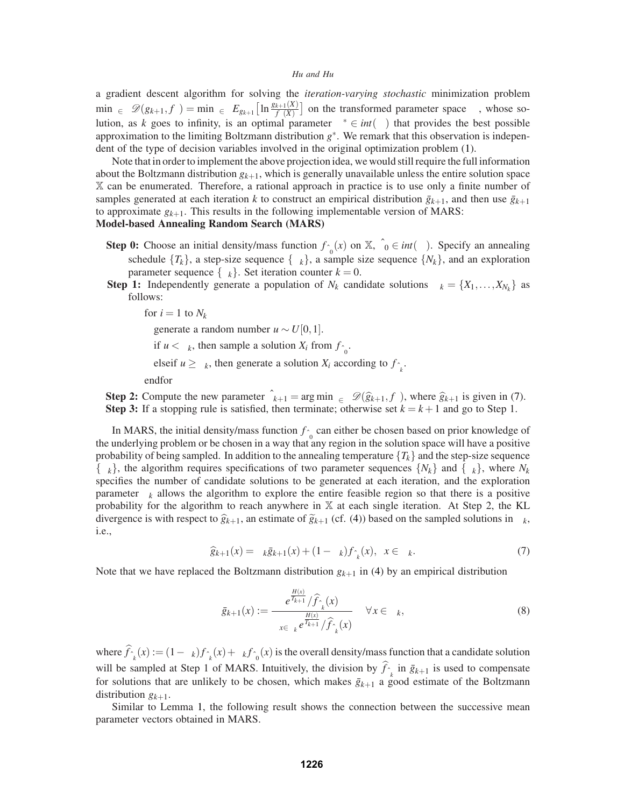a gradient descent algorithm for solving the *iteration-varying stochastic* minimization problem  $\min_{\theta \in \Theta} \mathcal{D}(g_{k+1}, f_{\theta}) = \min_{\theta \in \Theta} E_{g_{k+1}} \left[ \ln \frac{g_{k+1}(X)}{f_{\theta}(X)} \right]$  on the transformed parameter space  $\Theta$ , whose solution, as *k* goes to infinity, is an optimal parameter  $\theta^* \in int(\Theta)$  that provides the best possible approximation to the limiting Boltzmann distribution *g*∗. We remark that this observation is independent of the type of decision variables involved in the original optimization problem (1).

Note that in order to implement the above projection idea, we would still require the full information about the Boltzmann distribution  $g_{k+1}$ , which is generally unavailable unless the entire solution space X can be enumerated. Therefore, a rational approach in practice is to use only a finite number of samples generated at each iteration *k* to construct an empirical distribution  $\bar{g}_{k+1}$ , and then use  $\bar{g}_{k+1}$ to approximate  $g_{k+1}$ . This results in the following implementable version of MARS:

# **Model-based Annealing Random Search (MARS)**

- **Step 0:** Choose an initial density/mass function  $f_{\hat{\theta}_0}(x)$  on  $\mathbb{X}$ ,  $\hat{\theta}_0 \in int(\Theta)$ . Specify an annealing schedule  ${T_k}$ , a step-size sequence  $\{\alpha_k\}$ , a sample size sequence  $\{N_k\}$ , and an exploration parameter sequence  $\{\lambda_k\}$ . Set iteration counter  $k = 0$ .
- **Step 1:** Independently generate a population of  $N_k$  candidate solutions  $\Lambda_k = \{X_1, \ldots, X_{N_k}\}\$  as follows:

for  $i = 1$  to  $N_k$ 

generate a random number  $u \sim U[0,1]$ .

if  $u < \lambda_k$ , then sample a solution  $X_i$  from  $f_{\hat{\theta}_0}$ .

elseif  $u \ge \lambda_k$ , then generate a solution  $X_i$  according to  $f_{\hat{\theta}_k}$ .

endfor

**Step 2:** Compute the new parameter  $\hat{\theta}_{k+1} = \arg \min_{\theta \in \Theta} \mathcal{D}(\hat{g}_{k+1}, f_{\theta})$ , where  $\hat{g}_{k+1}$  is given in (7). **Step 3:** If a stopping rule is satisfied, then terminate; otherwise set  $k = k + 1$  and go to Step 1.

In MARS, the initial density/mass function  $f_{\hat{\theta}_0}$  can either be chosen based on prior knowledge of the underlying problem or be chosen in a way that any region in the solution space will have a positive probability of being sampled. In addition to the annealing temperature  $\{T_k\}$  and the step-size sequence  $\{\alpha_k\}$ , the algorithm requires specifications of two parameter sequences  $\{N_k\}$  and  $\{\lambda_k\}$ , where  $N_k$ specifies the number of candidate solutions to be generated at each iteration, and the exploration parameter  $\lambda_k$  allows the algorithm to explore the entire feasible region so that there is a positive probability for the algorithm to reach anywhere in X at each single iteration. At Step 2, the KL divergence is with respect to  $\hat{g}_{k+1}$ , an estimate of  $\hat{g}_{k+1}$  (cf. (4)) based on the sampled solutions in  $\Lambda_k$ , i.e.,

$$
\widehat{g}_{k+1}(x) = \alpha_k \bar{g}_{k+1}(x) + (1 - \alpha_k) f_{\hat{\theta}_k}(x), \ \ x \in \Lambda_k. \tag{7}
$$

Note that we have replaced the Boltzmann distribution  $g_{k+1}$  in (4) by an empirical distribution

$$
\bar{g}_{k+1}(x) := \frac{e^{\frac{H(x)}{T_{k+1}}}/\widehat{f}_{\hat{\theta}_k}(x)}{\sum_{x \in \Lambda_k} e^{\frac{H(x)}{T_{k+1}}}/\widehat{f}_{\hat{\theta}_k}(x)} \quad \forall x \in \Lambda_k,
$$
\n(8)

where  $f_{\hat{\theta}_k}(x) := (1 - \lambda_k) f_{\hat{\theta}_k}(x) + \lambda_k f_{\hat{\theta}_0}(x)$  is the overall density/mass function that a candidate solution will be sampled at Step 1 of MARS. Intuitively, the division by  $f_{\hat{\theta}_k}$  in  $\bar{g}_{k+1}$  is used to compensate for solutions that are unlikely to be chosen, which makes  $\bar{g}_{k+1}$  a good estimate of the Boltzmann distribution  $g_{k+1}$ .

Similar to Lemma 1, the following result shows the connection between the successive mean parameter vectors obtained in MARS.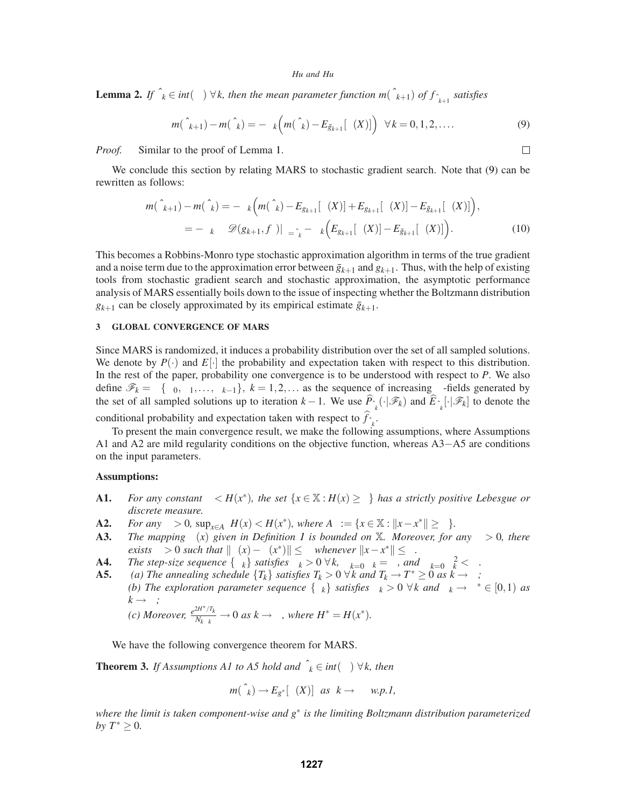**Lemma 2.** *If*  $\hat{\theta}_k \in int(\Theta) \ \forall k$ , then the mean parameter function  $m(\hat{\theta}_{k+1})$  of  $f_{\hat{\theta}_{k+1}}$  satisfies

$$
m(\hat{\theta}_{k+1}) - m(\hat{\theta}_k) = -\alpha_k \left( m(\hat{\theta}_k) - E_{\bar{g}_{k+1}}[\Gamma(X)] \right) \quad \forall k = 0, 1, 2, \dots \tag{9}
$$

*Proof.* Similar to the proof of Lemma 1.

We conclude this section by relating MARS to stochastic gradient search. Note that (9) can be rewritten as follows:

$$
m(\hat{\theta}_{k+1}) - m(\hat{\theta}_k) = -\alpha_k \Big( m(\hat{\theta}_k) - E_{g_{k+1}}[\Gamma(X)] + E_{g_{k+1}}[\Gamma(X)] - E_{\bar{g}_{k+1}}[\Gamma(X)] \Big),
$$
  
= 
$$
-\alpha_k \nabla_{\theta} \mathcal{D}(g_{k+1}, f_{\theta})|_{\theta = \hat{\theta}_k} - \alpha_k \Big( E_{g_{k+1}}[\Gamma(X)] - E_{\bar{g}_{k+1}}[\Gamma(X)] \Big).
$$
 (10)

This becomes a Robbins-Monro type stochastic approximation algorithm in terms of the true gradient and a noise term due to the approximation error between  $\bar{g}_{k+1}$  and  $g_{k+1}$ . Thus, with the help of existing tools from stochastic gradient search and stochastic approximation, the asymptotic performance analysis of MARS essentially boils down to the issue of inspecting whether the Boltzmann distribution  $g_{k+1}$  can be closely approximated by its empirical estimate  $\bar{g}_{k+1}$ .

### **3 GLOBAL CONVERGENCE OF MARS**

Since MARS is randomized, it induces a probability distribution over the set of all sampled solutions. We denote by  $P(\cdot)$  and  $E[\cdot]$  the probability and expectation taken with respect to this distribution. In the rest of the paper, probability one convergence is to be understood with respect to *P*. We also define  $\mathscr{F}_k = \sigma\{\Lambda_0, \Lambda_1, \ldots, \Lambda_{k-1}\}, k = 1, 2, \ldots$  as the sequence of increasing  $\sigma$ -fields generated by the set of all sampled solutions up to iteration  $k-1$ . We use  $\widehat{P}_{\hat{\theta}_k}(\cdot | \mathscr{F}_k)$  and  $\widehat{E}_{\hat{\theta}_k}[\cdot | \mathscr{F}_k]$  to denote the conditional probability and expectation taken with respect to  $f_{\hat{\theta}_k}$ .

To present the main convergence result, we make the following assumptions, where Assumptions A1 and A2 are mild regularity conditions on the objective function, whereas A3−A5 are conditions on the input parameters.

## **Assumptions:**

- **A1.** *For any constant*  $\varepsilon < H(x^*)$ *, the set*  $\{x \in \mathbb{X} : H(x) \ge \varepsilon\}$  *has a strictly positive Lebesgue or discrete measure.*
- **A2.** *For any*  $\delta > 0$ *,*  $\sup_{x \in A_{\delta}} H(x) < H(x^*)$ *, where*  $A_{\delta} := \{x \in \mathbb{X} : ||x x^*|| \ge \delta\}$ *.*<br>**A3.** *The mapping*  $\Gamma(x)$  *given in Definition 1 is bounded on X. Moreover, for c*
- *The mapping*  $\Gamma(x)$  *given in Definition 1 is bounded on* X*. Moreover, for any*  $\xi > 0$ *, there exists*  $\delta > 0$  *such that*  $\|\Gamma(x) - \Gamma(x^*)\| \leq \xi$  *whenever*  $\|x - x^*\| \leq \delta$ *.*
- **A4.** *The step-size sequence*  $\{\alpha_k\}$  *satisfies*  $\alpha_k > 0 \ \forall k$ ,  $\sum_{k=0}^{\infty} \alpha_k = \infty$ , and  $\sum_{k=0}^{\infty} \alpha_k^2 < \infty$ .

**A5.** *(a) The annealing schedule*  ${T_k}$  *satisfies*  ${T_k} > 0 \forall k$  *and*  ${T_k} \rightarrow {T^*} \ge 0$  *as*  $k \rightarrow \infty$ ; *(b)* The exploration parameter sequence  $\{\lambda_k\}$  satisfies  $\lambda_k > 0 \ \forall k$  and  $\lambda_k \to \lambda^* \in [0,1)$  as  $k \rightarrow \infty$ ;

(c) Moreover, 
$$
\frac{e^{2H^*/T_k}}{N_k\lambda_k} \to 0
$$
 as  $k \to \infty$ , where  $H^* = H(x^*)$ .

We have the following convergence theorem for MARS.

**Theorem 3.** *If Assumptions A1 to A5 hold and*  $\hat{\theta}_k \in int(\Theta) \ \forall k$ , then

$$
m(\hat{\theta}_k) \to E_{g^*}[\Gamma(X)] \text{ as } k \to \infty \text{ w.p.1,}
$$

*where the limit is taken component-wise and g*∗ *is the limiting Boltzmann distribution parameterized by*  $T^*$  ≥ 0*.* 

 $\Box$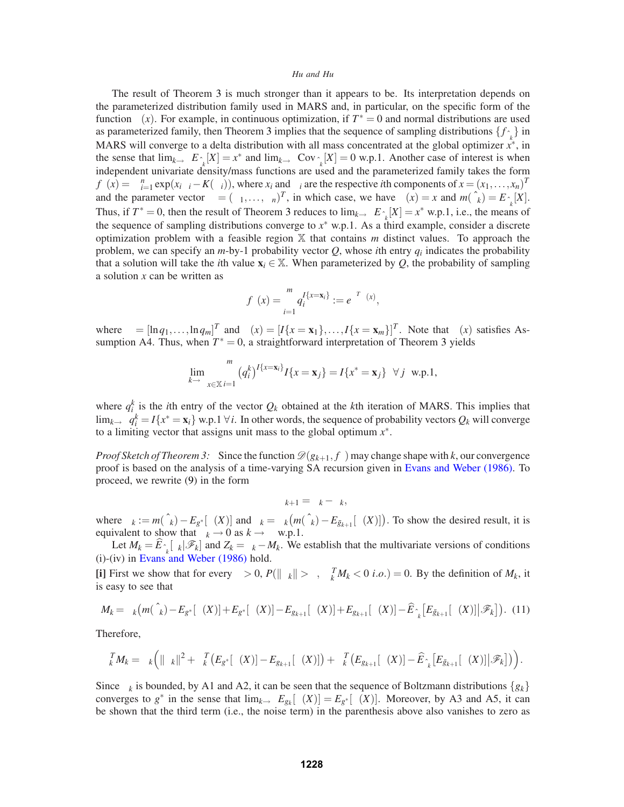The result of Theorem 3 is much stronger than it appears to be. Its interpretation depends on the parameterized distribution family used in MARS and, in particular, on the specific form of the function  $\Gamma(x)$ . For example, in continuous optimization, if  $T^* = 0$  and normal distributions are used as parameterized family, then Theorem 3 implies that the sequence of sampling distributions  $\{f_{\hat{\theta}_k}\}$  in MARS will converge to a delta distribution with all mass concentrated at the global optimizer  $\vec{x}^*$ , in the sense that  $\lim_{k\to\infty} E_{\hat{\theta}_k}[X] = x^*$  and  $\lim_{k\to\infty} \text{Cov}_{\hat{\theta}_k}[X] = 0$  w.p.1. Another case of interest is when independent univariate density/mass functions are used and the parameterized family takes the form  $f_{\theta}(x) = \prod_{i=1}^{n} \exp(x_i \vartheta_i - K(\vartheta_i))$ , where  $x_i$  and  $\vartheta_i$  are the respective *i*th components of  $x = (x_1, \ldots, x_n)^T$ and the parameter vector  $\theta = (\vartheta_1, ..., \vartheta_n)^T$ , in which case, we have  $\Gamma(x) = x$  and  $m(\hat{\theta}_k) = E_{\hat{\theta}_k}[X]$ . Thus, if  $T^* = 0$ , then the result of Theorem 3 reduces to  $\lim_{k \to \infty} E_{\hat{\theta}_k}[X] = x^*$  w.p.1, i.e., the means of the sequence of sampling distributions converge to  $x^*$  w.p.1. As a third example, consider a discrete optimization problem with a feasible region  $X$  that contains  $m$  distinct values. To approach the problem, we can specify an  $m$ -by-1 probability vector  $Q$ , whose *i*th entry  $q_i$  indicates the probability that a solution will take the *i*th value  $\mathbf{x}_i \in \mathbb{X}$ . When parameterized by *Q*, the probability of sampling a solution *x* can be written as

$$
f_{\theta}(x) = \prod_{i=1}^{m} q_i^{I\{x = \mathbf{x}_i\}} := e^{\theta^T \Gamma(x)},
$$

where  $\theta = [\ln q_1, \ldots, \ln q_m]^T$  and  $\Gamma(x) = [I\{x = \mathbf{x}_1\}, \ldots, I\{x = \mathbf{x}_m\}]^T$ . Note that  $\Gamma(x)$  satisfies Assumption A4. Thus, when  $T^* = 0$ , a straightforward interpretation of Theorem 3 yields

$$
\lim_{k \to \infty} \sum_{x \in \mathbb{X}} \prod_{i=1}^{m} (q_i^k)^{I\{x = \mathbf{x}_i\}} I\{x = \mathbf{x}_j\} = I\{x^* = \mathbf{x}_j\} \quad \forall j \quad \text{w.p.1},
$$

where  $q_i^k$  is the *i*th entry of the vector  $Q_k$  obtained at the *k*th iteration of MARS. This implies that lim<sub>*k*→∞  $q_i^k = I\{x^* = \mathbf{x}_i\}$ </sub> w.p.1  $\forall i$ . In other words, the sequence of probability vectors  $Q_k$  will converge to a limiting vector that assigns unit mass to the global optimum *x*∗.

*Proof Sketch of Theorem 3:* Since the function  $\mathcal{D}(g_{k+1}, f_{\theta})$  may change shape with *k*, our convergence proof is based on the analysis of a time-varying SA recursion given in Evans and Weber (1986). To proceed, we rewrite (9) in the form

$$
\eta_{k+1} = \eta_k - \xi_k,
$$

where  $\eta_k := m(\hat{\theta}_k) - E_{g^*}[\Gamma(X)]$  and  $\xi_k = \alpha_k \big( m(\hat{\theta}_k) - E_{\bar{g}_{k+1}}[\Gamma(X)] \big)$ . To show the desired result, it is equivalent to show that  $\eta_k \to 0$  as  $k \to \infty$  w.p.1.

Let  $M_k = \widehat{E}_{\hat{\theta}_k}[\xi_k|\mathscr{F}_k]$  and  $Z_k = \xi_k - M_k$ . We establish that the multivariate versions of conditions (i)-(iv) in Evans and Weber (1986) hold.

**[i]** First we show that for every  $\varepsilon > 0$ ,  $P(||\eta_k|| > \varepsilon$ ,  $\eta_k^T M_k < 0$  *i.o.*) = 0. By the definition of  $M_k$ , it is easy to see that

$$
M_k = \alpha_k \big( m(\hat{\theta}_k) - E_{g^*}[\Gamma(X)] + E_{g^*}[\Gamma(X)] - E_{g_{k+1}}[\Gamma(X)] + E_{g_{k+1}}[\Gamma(X)] - \widehat{E}_{\hat{\theta}_k} \big[ E_{\bar{g}_{k+1}}[\Gamma(X)] \big| \mathcal{F}_k \big] \big).
$$
 (11)

Therefore,

$$
\eta_k^T M_k = \alpha_k \Big( \|\eta_k\|^2 + \eta_k^T \big( E_{g^*}[\Gamma(X)] - E_{g_{k+1}}[\Gamma(X)] \big) + \eta_k^T \big( E_{g_{k+1}}[\Gamma(X)] - \widehat{E}_{\hat{\theta}_k} \big[ E_{\bar{g}_{k+1}}[\Gamma(X)] \big| \mathscr{F}_k \big] \big) \Big).
$$

Since  $\eta_k$  is bounded, by A1 and A2, it can be seen that the sequence of Boltzmann distributions  $\{g_k\}$ converges to  $g^*$  in the sense that  $\lim_{k\to\infty} E_{g_k}[\Gamma(X)] = E_{g^*}[\Gamma(X)]$ . Moreover, by A3 and A5, it can be shown that the third term (i.e., the noise term) in the parenthesis above also vanishes to zero as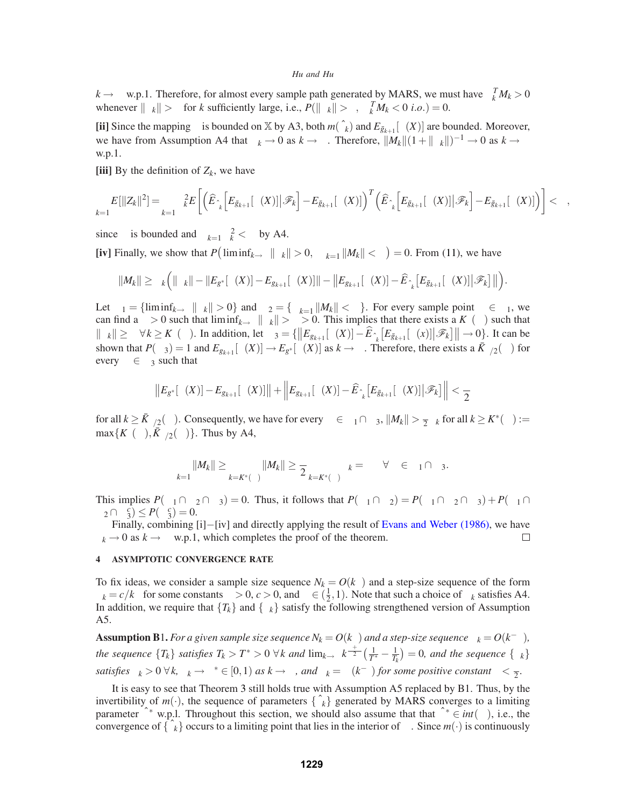$k \to \infty$  w.p.1. Therefore, for almost every sample path generated by MARS, we must have  $\eta_k^T M_k > 0$ whenever  $\|\eta_k\| > \varepsilon$  for *k* sufficiently large, i.e.,  $P(\|\eta_k\| > \varepsilon, \eta_k^T M_k < 0 \text{ i.o.}) = 0$ .

**[ii]** Since the mapping  $\Gamma$  is bounded on  $\mathbb{X}$  by A3, both  $m(\hat{\theta}_k)$  and  $E_{\bar{g}_{k+1}}[\Gamma(X)]$  are bounded. Moreover, we have from Assumption A4 that  $\alpha_k \to 0$  as  $k \to \infty$ . Therefore,  $||M_k||(1+||\eta_k||)^{-1} \to 0$  as  $k \to \infty$ w.p.1.

[iii] By the definition of  $Z_k$ , we have

$$
\sum_{k=1}^{\infty} E[||Z_k||^2] = \sum_{k=1}^{\infty} \alpha_k^2 E\left[\left(\widehat{E}_{\hat{\theta}_k}\left[E_{\bar{g}_{k+1}}[\Gamma(X)]\big|\mathscr{F}_k\right] - E_{\bar{g}_{k+1}}[\Gamma(X)]\right)^T \left(\widehat{E}_{\hat{\theta}_k}\left[E_{\bar{g}_{k+1}}[\Gamma(X)]\big|\mathscr{F}_k\right] - E_{\bar{g}_{k+1}}[\Gamma(X)]\right)\right] < \infty,
$$

since  $\Gamma$  is bounded and  $\sum_{k=1}^{\infty} \alpha_k^2 < \infty$  by A4.

[iv] Finally, we show that  $P(\liminf_{k\to\infty} \|\eta_k\| > 0, \sum_{k=1}^{\infty} \|M_k\| < \infty) = 0$ . From (11), we have

$$
||M_k|| \geq \alpha_k \Big( ||\eta_k|| - ||E_{g^*}[\Gamma(X)] - E_{g_{k+1}}[\Gamma(X)]|| - ||E_{g_{k+1}}[\Gamma(X)] - \widehat{E}_{\hat{\theta}_k} [E_{\bar{g}_{k+1}}[\Gamma(X)] | \mathscr{F}_k]|| \Big).
$$

Let  $\Omega_1 = \{\liminf_{k \to \infty} ||\eta_k|| > 0\}$  and  $\Omega_2 = \{\sum_{k=1}^{\infty} ||M_k|| < \infty\}$ . For every sample point  $\omega \in \Omega_1$ , we can find a  $\delta > 0$  such that  $\liminf_{k \to \infty} \|\eta_k\| > \delta > 0$ . This implies that there exists a  $K_\delta(\omega)$  such that  $\|\eta_k\| \ge \delta \ \forall k \ge K_\delta(\omega)$ . In addition, let  $\Omega_3 = {\|E_{g_{k+1}}[\Gamma(X)] - \widehat{E}_{\hat{\theta}_k}[E_{\bar{g}_{k+1}}[\Gamma(x)] \|\mathscr{F}_k\| \to 0}.$  It can be shown that  $P(\Omega_3) = 1$  and  $E_{g_{k+1}}[\Gamma(X)] \to E_{g^*}[\Gamma(X)]$  as  $k \to \infty$ . Therefore, there exists a  $\bar{K}_{\delta/2}(\omega)$  for every  $\omega \in \Omega_3$  such that

$$
\left\|E_{g^*}[\Gamma(X)] - E_{g_{k+1}}[\Gamma(X)]\right\| + \left\|E_{g_{k+1}}[\Gamma(X)] - \widehat{E}_{\hat{\theta}_k}\big[E_{\bar{g}_{k+1}}[\Gamma(X)]\big|\mathscr{F}_k\big]\right\| < \frac{\delta}{2}
$$

for all  $k \ge \bar{K}_{\delta/2}(\omega)$ . Consequently, we have for every  $\omega \in \Omega_1 \cap \Omega_3$ ,  $\|M_k\| > \frac{\delta}{2} \alpha_k$  for all  $k \ge K^*(\omega) :=$  $\max\{K_\delta(\omega), \bar{K}_{\delta/2}(\omega)\}\.$  Thus by A4,

$$
\sum_{k=1}^{\infty}||M_k|| \geq \sum_{k=K^*(\omega)}^{\infty}||M_k|| \geq \frac{\delta}{2} \sum_{k=K^*(\omega)}^{\infty} \alpha_k = \infty \quad \forall \omega \in \Omega_1 \cap \Omega_3.
$$

This implies  $P(\Omega_1 \cap \Omega_2 \cap \Omega_3) = 0$ . Thus, it follows that  $P(\Omega_1 \cap \Omega_2) = P(\Omega_1 \cap \Omega_2 \cap \Omega_3) + P(\Omega_1 \cap \Omega_2 \cap \Omega_3)$  $\Omega_2 \cap \Omega_3^c$   $\leq P(\Omega_3^c) = 0.$ 

Finally, combining [i]–[iv] and directly applying the result of Evans and Weber (1986), we have  $\rightarrow$  0 as  $k \rightarrow \infty$  w.p.1, which completes the proof of the theorem.  $\eta_k \to 0$  as  $k \to \infty$  w.p.1, which completes the proof of the theorem.

## **4 ASYMPTOTIC CONVERGENCE RATE**

To fix ideas, we consider a sample size sequence  $N_k = O(k^\beta)$  and a step-size sequence of the form  $\alpha_k = c/k^{\alpha}$  for some constants  $\beta > 0$ ,  $c > 0$ , and  $\alpha \in (\frac{1}{2}, 1)$ . Note that such a choice of  $\alpha_k$  satisfies A4. In addition, we require that  ${T_k}$  and  ${\lambda_k}$  satisfy the following strengthened version of Assumption A5.

**Assumption B**1. *For a given sample size sequence*  $N_k = O(k^{\beta})$  *and a step-size sequence*  $\alpha_k = O(k^{-\alpha})$ *, the sequence*  $\{T_k\}$  *satisfies*  $T_k > T^* > 0 \ \forall k$  and  $\lim_{k\to\infty} k^{\frac{\alpha+\beta}{2}}(\frac{1}{T^*}-\frac{1}{T_k}) = 0$ , and the sequence  $\{\lambda_k\}$ *satisfies*  $\lambda_k > 0 \ \forall k, \ \lambda_k \to \lambda^* \in [0,1)$  *as*  $k \to \infty$ *, and*  $\lambda_k = \Omega(k^{-\gamma})$  *for some positive constant*  $\gamma < \frac{\beta}{2}$ *.* 

It is easy to see that Theorem 3 still holds true with Assumption A5 replaced by B1. Thus, by the invertibility of  $m(\cdot)$ , the sequence of parameters  $\{\hat{\theta}_k\}$  generated by MARS converges to a limiting parameter  $\hat{\theta}^*$  w.p.l. Throughout this section, we should also assume that that  $\hat{\theta}^* \in int(\Theta)$ , i.e., the convergence of  $\{\hat{\theta}_k\}$  occurs to a limiting point that lies in the interior of  $\Theta$ . Since  $m(\cdot)$  is continuously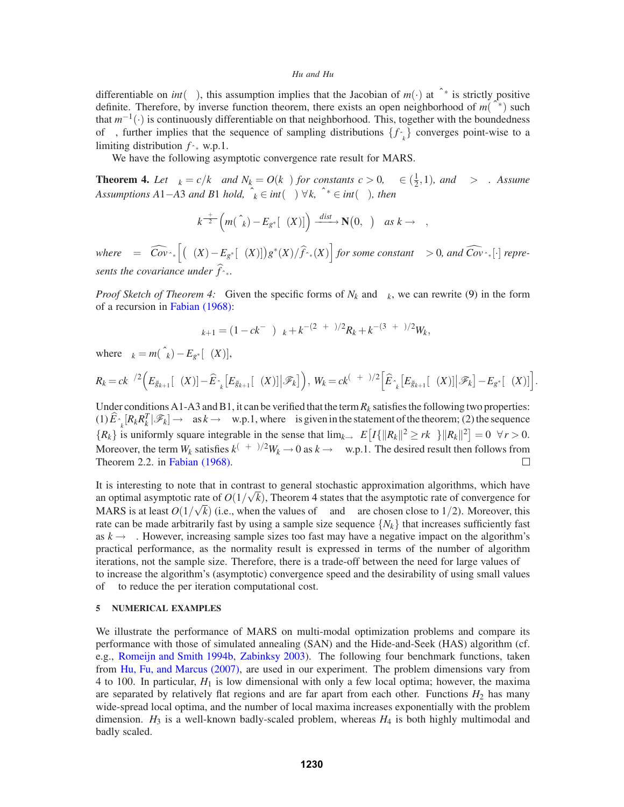differentiable on  $int(\Theta)$ , this assumption implies that the Jacobian of  $m(\cdot)$  at  $\hat{\theta}^*$  is strictly positive definite. Therefore, by inverse function theorem, there exists an open neighborhood of  $m(\hat{\theta}^*)$  such that *<sup>m</sup>*−1(·) is continuously differentiable on that neighborhood. This, together with the boundedness of Γ, further implies that the sequence of sampling distributions  $\{f_{\hat{\theta}_k}\}$  converges point-wise to a limiting distribution  $f_{\hat{\theta}^*}$  w.p.1.

We have the following asymptotic convergence rate result for MARS.

**Theorem 4.** Let  $\alpha_k = c/k^{\alpha}$  and  $N_k = O(k^{\beta})$  for constants  $c > 0$ ,  $\alpha \in (\frac{1}{2}, 1)$ *, and*  $\beta > \alpha$ *. Assume Assumptions A*1−*A*3 *and B*1 *hold,*  $\hat{\theta}_k \in int(\Theta) \ \forall k$ ,  $\hat{\theta}^* \in int(\Theta)$ , then

$$
k^{\frac{\alpha+\beta}{2}}\left(m(\hat{\theta}_k)-E_{g^*}[\Gamma(X)]\right)\xrightarrow{dist} \mathbf{N}(0,\Sigma) \quad \text{as } k \to \infty,
$$

 $where \ \Sigma = \Upsilon \widehat{Cov}_{\hat{\theta}^*} \left[ (\Gamma(X) - E_{g^*}[\Gamma(X)]) g^*(X) / \widehat{f}_{\hat{\theta}^*}(X) \right] for some constant \ \Upsilon > 0, and \ \widehat{Cov}_{\hat{\theta}^*}[\cdot] \ represent{array}$ sents the covariance under  $f_{\hat{\theta}^*}$ .

*Proof Sketch of Theorem 4:* Given the specific forms of  $N_k$  and  $\alpha_k$ , we can rewrite (9) in the form of a recursion in Fabian (1968):

$$
\eta_{k+1} = (1 - ck^{-\alpha})\eta_k + k^{-(2\alpha+\beta)/2}R_k + k^{-(3\alpha+\beta)/2}W_k,
$$

where  $\eta_k = m(\hat{\theta}_k) - E_{g^*}[\Gamma(X)],$ 

$$
R_k = ck^{\beta/2} \Big( E_{\bar{g}_{k+1}}[\Gamma(X)] - \widehat{E}_{\hat{\theta}_k} \big[ E_{\bar{g}_{k+1}}[\Gamma(X)] \big| \mathscr{F}_k \big] \Big), W_k = ck^{(\alpha+\beta)/2} \Big[ \widehat{E}_{\hat{\theta}_k} \big[ E_{\bar{g}_{k+1}}[\Gamma(X)] \big| \mathscr{F}_k \big] - E_{g^*}[\Gamma(X)] \Big].
$$

Under conditions A1-A3 and B1, it can be verified that the term  $R_k$  satisfies the following two properties:  $(1)\widehat{E}_{\hat{\theta}_k}[R_kR_k^T|\mathscr{F}_k]\to\Sigma$  as  $k\to\infty$  w.p.1, where  $\Sigma$  is given in the statement of the theorem; (2) the sequence  ${R_k}$  is uniformly square integrable in the sense that  $\lim_{k\to\infty} E[I{\|R_k\|^2 \geq rk^\alpha\}\|R_k\|^2] = 0 \quad \forall r > 0.$ Moreover, the term  $W_k$  satisfies  $k^{(\alpha+\beta)/2}W_k \to 0$  as  $k \to \infty$  w.p.1. The desired result then follows from Theorem 2.2. in Fabian (1968).

It is interesting to note that in contrast to general stochastic approximation algorithms, which have an optimal asymptotic rate of  $O(1/\sqrt{k})$ , Theorem 4 states that the asymptotic rate of convergence for MARS is at least  $O(1/\sqrt{k})$  (i.e., when the values of  $\alpha$  and  $\beta$  are chosen close to 1/2). Moreover, this rate can be made arbitrarily fast by using a sample size sequence  $\{N_k\}$  that increases sufficiently fast as  $k \rightarrow \infty$ . However, increasing sample sizes too fast may have a negative impact on the algorithm's practical performance, as the normality result is expressed in terms of the number of algorithm iterations, not the sample size. Therefore, there is a trade-off between the need for large values of β to increase the algorithm's (asymptotic) convergence speed and the desirability of using small values of  $β$  to reduce the per iteration computational cost.

## **5 NUMERICAL EXAMPLES**

We illustrate the performance of MARS on multi-modal optimization problems and compare its performance with those of simulated annealing (SAN) and the Hide-and-Seek (HAS) algorithm (cf. e.g., Romeijn and Smith 1994b, Zabinksy 2003). The following four benchmark functions, taken from Hu, Fu, and Marcus (2007), are used in our experiment. The problem dimensions vary from 4 to 100. In particular,  $H_1$  is low dimensional with only a few local optima; however, the maxima are separated by relatively flat regions and are far apart from each other. Functions  $H_2$  has many wide-spread local optima, and the number of local maxima increases exponentially with the problem dimension.  $H_3$  is a well-known badly-scaled problem, whereas  $H_4$  is both highly multimodal and badly scaled.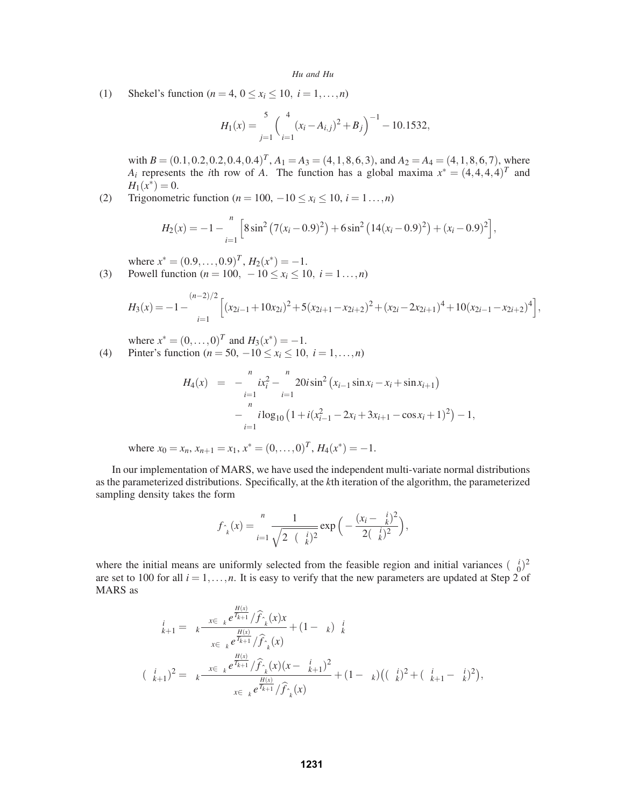(1) Shekel's function (*n* = 4,  $0 \le x_i \le 10$ ,  $i = 1,...,n$ )

$$
H_1(x) = \sum_{j=1}^{5} \left( \sum_{i=1}^{4} (x_i - A_{i,j})^2 + B_j \right)^{-1} - 10.1532,
$$

with  $B = (0.1, 0.2, 0.2, 0.4, 0.4)^T$ ,  $A_1 = A_3 = (4, 1, 8, 6, 3)$ , and  $A_2 = A_4 = (4, 1, 8, 6, 7)$ , where *A<sub>i</sub>* represents the *i*th row of *A*. The function has a global maxima  $x^* = (4,4,4,4)^T$  and  $H_1(x^*) = 0.$ 

(2) Trigonometric function ( $n = 100, -10 \le x_i \le 10, i = 1...$ , *n*)

$$
H_2(x) = -1 - \sum_{i=1}^{n} \left[ 8\sin^2\left(7(x_i - 0.9)^2\right) + 6\sin^2\left(14(x_i - 0.9)^2\right) + (x_i - 0.9)^2 \right],
$$

where  $x^* = (0.9, \ldots, 0.9)^T$ ,  $H_2(x^*) = -1$ .

(3) Powell function  $(n = 100, -10 \le x_i \le 10, i = 1...$ ,*n*)

$$
H_3(x) = -1 - \sum_{i=1}^{(n-2)/2} \left[ (x_{2i-1} + 10x_{2i})^2 + 5(x_{2i+1} - x_{2i+2})^2 + (x_{2i} - 2x_{2i+1})^4 + 10(x_{2i-1} - x_{2i+2})^4 \right],
$$

where  $x^* = (0, ..., 0)^T$  and  $H_3(x^*) = -1$ . (4) Pinter's function ( $n = 50, -10 \le x_i \le 10, i = 1,...,n$ )

$$
H_4(x) = -\sum_{i=1}^{n} ix_i^2 - \sum_{i=1}^{n} 20i \sin^2 (x_{i-1} \sin x_i - x_i + \sin x_{i+1})
$$

$$
-\sum_{i=1}^{n} i \log_{10} (1 + i(x_{i-1}^2 - 2x_i + 3x_{i+1} - \cos x_i + 1)^2) - 1,
$$

where  $x_0 = x_n$ ,  $x_{n+1} = x_1$ ,  $x^* = (0, \ldots, 0)^T$ ,  $H_4(x^*) = -1$ .

In our implementation of MARS, we have used the independent multi-variate normal distributions as the parameterized distributions. Specifically, at the *k*th iteration of the algorithm, the parameterized sampling density takes the form

$$
f_{\hat{\theta}_k}(x) = \prod_{i=1}^n \frac{1}{\sqrt{2\pi(\sigma_k^i)^2}} \exp\Big(-\frac{(x_i - \mu_k^i)^2}{2(\sigma_k^i)^2}\Big),
$$

where the initial means are uniformly selected from the feasible region and initial variances  $(\sigma_0^i)^2$ are set to 100 for all  $i = 1, \ldots, n$ . It is easy to verify that the new parameters are updated at Step 2 of MARS as

$$
\mu_{k+1}^{i} = \alpha_{k} \frac{\sum_{x \in \Lambda_{k}} e^{\frac{H(x)}{T_{k+1}}} / \hat{f}_{\hat{\theta}_{k}}(x)x}}{\sum_{x \in \Lambda_{k}} e^{\frac{H(x)}{T_{k+1}}} / \hat{f}_{\hat{\theta}_{k}}(x)} + (1 - \alpha_{k}) \mu_{k}^{i}}
$$
\n
$$
(\sigma_{k+1}^{i})^{2} = \alpha_{k} \frac{\sum_{x \in \Lambda_{k}} e^{\frac{H(x)}{T_{k+1}}} / \hat{f}_{\hat{\theta}_{k}}(x)(x - \mu_{k+1}^{i})^{2}}{\sum_{x \in \Lambda_{k}} e^{\frac{H(x)}{T_{k+1}}} / \hat{f}_{\hat{\theta}_{k}}(x)} + (1 - \alpha_{k}) \big((\sigma_{k}^{i})^{2} + (\mu_{k+1}^{i} - \mu_{k}^{i})^{2}\big),
$$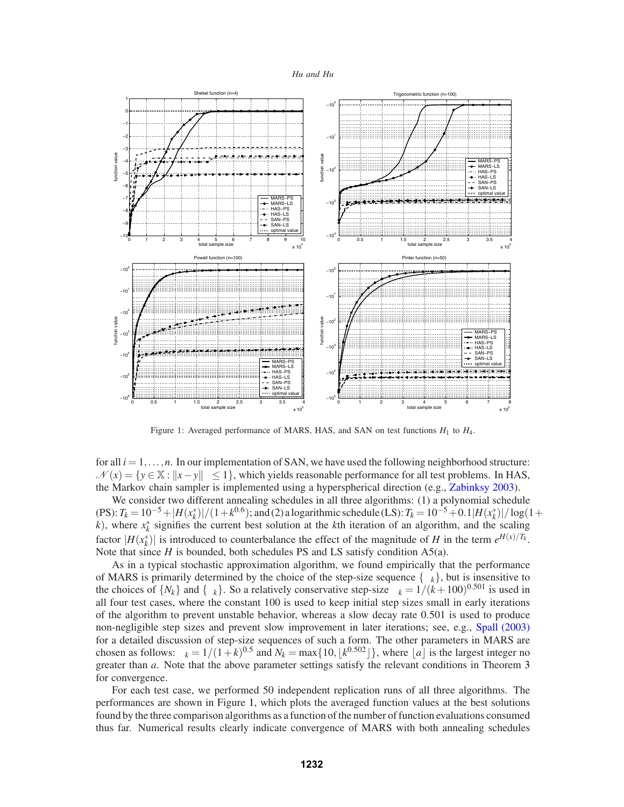

Figure 1: Averaged performance of MARS, HAS, and SAN on test functions  $H_1$  to  $H_4$ .

for all  $i = 1, \ldots, n$ . In our implementation of SAN, we have used the following neighborhood structure:  $\mathcal{N}(x) = \{y \in \mathbb{X} : ||x - y||_{\infty} \le 1\}$ , which yields reasonable performance for all test problems. In HAS, the Markov chain sampler is implemented using a hyperspherical direction (e.g., Zabinksy 2003).

We consider two different annealing schedules in all three algorithms: (1) a polynomial schedule  $(PS): T_k = 10^{-5} + |H(x_k^*)|/(1+k^{0.6})$ ; and (2) a logarithmic schedule (LS):  $T_k = 10^{-5} + 0.1|H(x_k^*)|/\log(1+k^{0.6})$ *k*), where  $x_k^*$  signifies the current best solution at the *k*th iteration of an algorithm, and the scaling factor  $|H(x_k^*)|$  is introduced to counterbalance the effect of the magnitude of *H* in the term  $e^{H(x)/T_k}$ . Note that since *H* is bounded, both schedules PS and LS satisfy condition A5(a).

As in a typical stochastic approximation algorithm, we found empirically that the performance of MARS is primarily determined by the choice of the step-size sequence  $\{\alpha_k\}$ , but is insensitive to the choices of  $\{N_k\}$  and  $\{\lambda_k\}$ . So a relatively conservative step-size  $\alpha_k = 1/(k+100)^{0.501}$  is used in all four test cases, where the constant 100 is used to keep initial step sizes small in early iterations of the algorithm to prevent unstable behavior, whereas a slow decay rate 0.501 is used to produce non-negligible step sizes and prevent slow improvement in later iterations; see, e.g., Spall (2003) for a detailed discussion of step-size sequences of such a form. The other parameters in MARS are chosen as follows:  $\lambda_k = 1/(1+k)^{0.5}$  and  $N_k = \max\{10, \lfloor k^{0.502} \rfloor\}$ , where  $\lfloor a \rfloor$  is the largest integer no greater than *a*. Note that the above parameter settings satisfy the relevant conditions in Theorem 3 for convergence.

For each test case, we performed 50 independent replication runs of all three algorithms. The performances are shown in Figure 1, which plots the averaged function values at the best solutions found by the three comparison algorithms as a function of the number of function evaluations consumed thus far. Numerical results clearly indicate convergence of MARS with both annealing schedules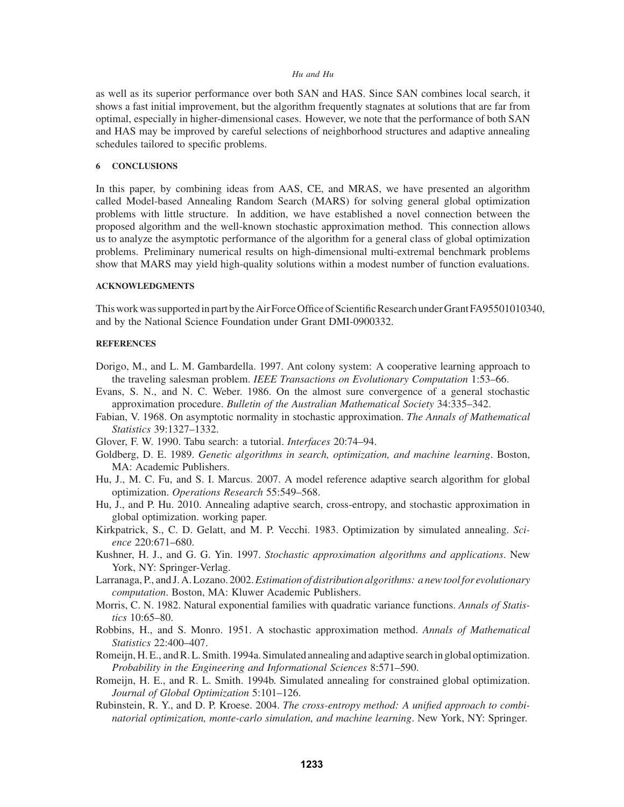as well as its superior performance over both SAN and HAS. Since SAN combines local search, it shows a fast initial improvement, but the algorithm frequently stagnates at solutions that are far from optimal, especially in higher-dimensional cases. However, we note that the performance of both SAN and HAS may be improved by careful selections of neighborhood structures and adaptive annealing schedules tailored to specific problems.

# **6 CONCLUSIONS**

In this paper, by combining ideas from AAS, CE, and MRAS, we have presented an algorithm called Model-based Annealing Random Search (MARS) for solving general global optimization problems with little structure. In addition, we have established a novel connection between the proposed algorithm and the well-known stochastic approximation method. This connection allows us to analyze the asymptotic performance of the algorithm for a general class of global optimization problems. Preliminary numerical results on high-dimensional multi-extremal benchmark problems show that MARS may yield high-quality solutions within a modest number of function evaluations.

# **ACKNOWLEDGMENTS**

This work was supported in part by the Air Force Office of Scientific Research under Grant FA95501010340, and by the National Science Foundation under Grant DMI-0900332.

#### **REFERENCES**

- Dorigo, M., and L. M. Gambardella. 1997. Ant colony system: A cooperative learning approach to the traveling salesman problem. *IEEE Transactions on Evolutionary Computation* 1:53–66.
- Evans, S. N., and N. C. Weber. 1986. On the almost sure convergence of a general stochastic approximation procedure. *Bulletin of the Australian Mathematical Society* 34:335–342.
- Fabian, V. 1968. On asymptotic normality in stochastic approximation. *The Annals of Mathematical Statistics* 39:1327–1332.
- Glover, F. W. 1990. Tabu search: a tutorial. *Interfaces* 20:74–94.
- Goldberg, D. E. 1989. *Genetic algorithms in search, optimization, and machine learning*. Boston, MA: Academic Publishers.
- Hu, J., M. C. Fu, and S. I. Marcus. 2007. A model reference adaptive search algorithm for global optimization. *Operations Research* 55:549–568.
- Hu, J., and P. Hu. 2010. Annealing adaptive search, cross-entropy, and stochastic approximation in global optimization. working paper.
- Kirkpatrick, S., C. D. Gelatt, and M. P. Vecchi. 1983. Optimization by simulated annealing. *Science* 220:671–680.
- Kushner, H. J., and G. G. Yin. 1997. *Stochastic approximation algorithms and applications*. New York, NY: Springer-Verlag.
- Larranaga, P., and J. A. Lozano. 2002.*Estimation of distribution algorithms: a new tool for evolutionary computation*. Boston, MA: Kluwer Academic Publishers.
- Morris, C. N. 1982. Natural exponential families with quadratic variance functions. *Annals of Statistics* 10:65–80.
- Robbins, H., and S. Monro. 1951. A stochastic approximation method. *Annals of Mathematical Statistics* 22:400–407.
- Romeijn, H. E., and R. L. Smith. 1994a. Simulated annealing and adaptive search in global optimization. *Probability in the Engineering and Informational Sciences* 8:571–590.
- Romeijn, H. E., and R. L. Smith. 1994b. Simulated annealing for constrained global optimization. *Journal of Global Optimization* 5:101–126.
- Rubinstein, R. Y., and D. P. Kroese. 2004. *The cross-entropy method: A unified approach to combinatorial optimization, monte-carlo simulation, and machine learning*. New York, NY: Springer.